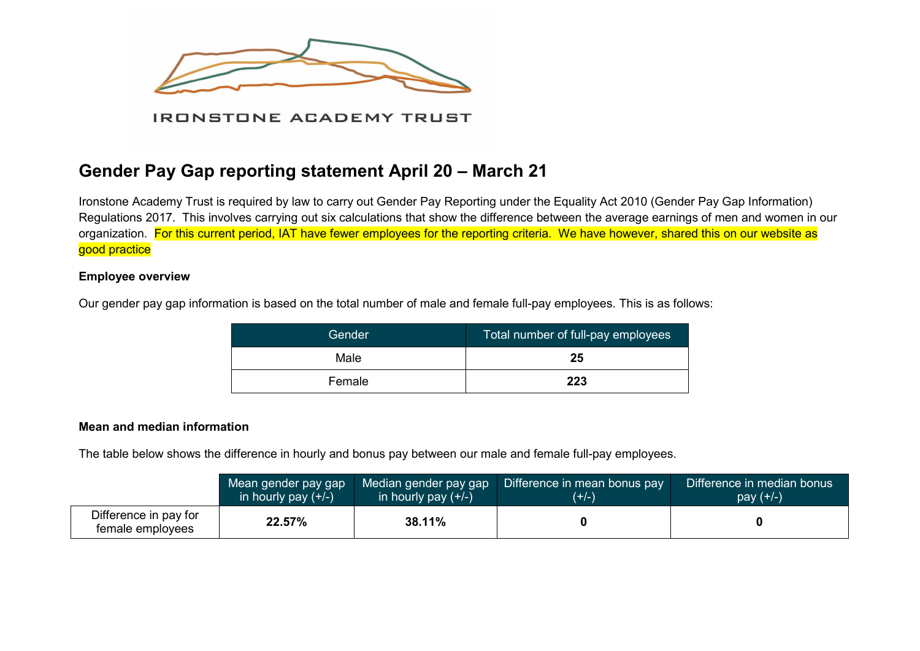

# **Gender Pay Gap reporting statement April 20 – March 21**

Ironstone Academy Trust is required by law to carry out Gender Pay Reporting under the Equality Act 2010 (Gender Pay Gap Information) Regulations 2017. This involves carrying out six calculations that show the difference between the average earnings of men and women in our organization. For this current period, IAT have fewer employees for the reporting criteria. We have however, shared this on our website as good practice

## **Employee overview**

Our gender pay gap information is based on the total number of male and female full-pay employees. This is as follows:

| Gender | Total number of full-pay employees |
|--------|------------------------------------|
| Male   | 25                                 |
| Female | 223                                |

## **Mean and median information**

The table below shows the difference in hourly and bonus pay between our male and female full-pay employees.

|                                           | Mean gender pay gap   | Median gender pay gap | Difference in mean bonus pay | Difference in median bonus |
|-------------------------------------------|-----------------------|-----------------------|------------------------------|----------------------------|
|                                           | in hourly pay $(+/-)$ | in hourly pay $(+/-)$ | $(+/-)$                      | $pay (+/-)$                |
| Difference in pay for<br>female employees | 22.57%                | 38.11%                |                              |                            |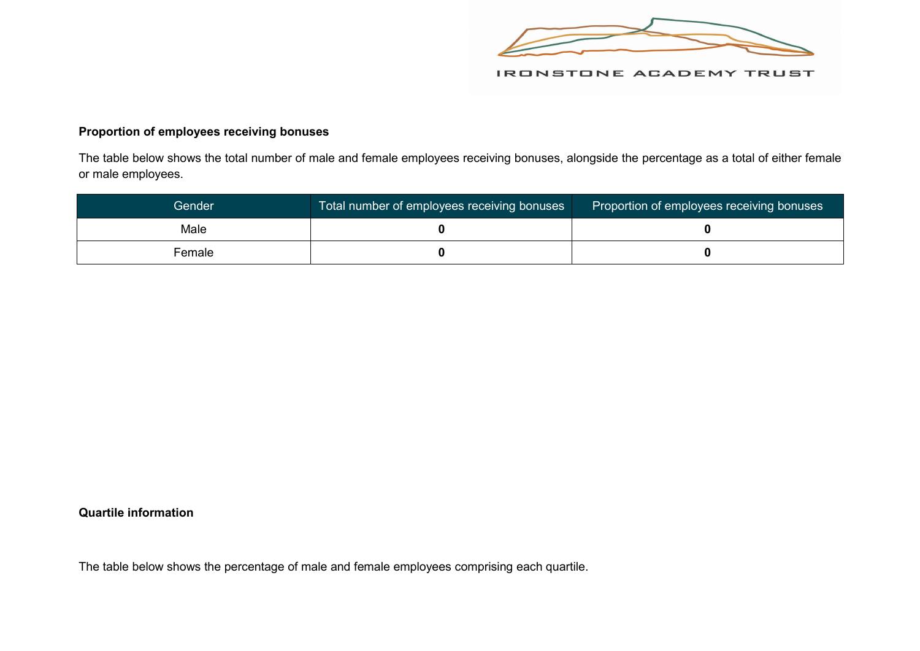

## **Proportion of employees receiving bonuses**

The table below shows the total number of male and female employees receiving bonuses, alongside the percentage as a total of either female or male employees.

| Gender | Total number of employees receiving bonuses | Proportion of employees receiving bonuses |
|--------|---------------------------------------------|-------------------------------------------|
| Male   |                                             |                                           |
| Female |                                             |                                           |

## **Quartile information**

The table below shows the percentage of male and female employees comprising each quartile.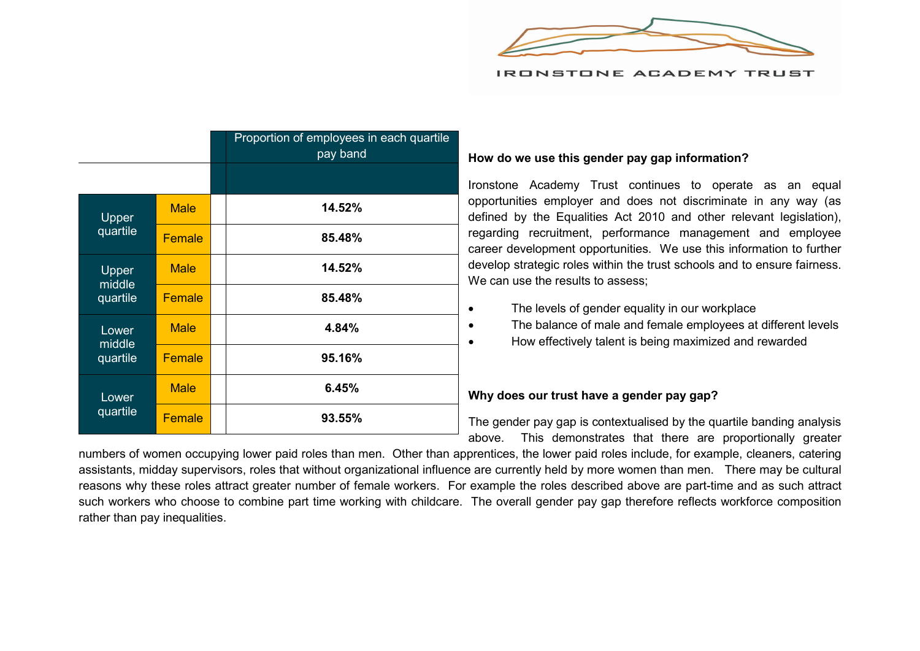

|                             |             | Proportion of employees in each quartile<br>pay band |
|-----------------------------|-------------|------------------------------------------------------|
|                             |             |                                                      |
| Upper<br>quartile           | <b>Male</b> | 14.52%                                               |
|                             | Female      | 85.48%                                               |
| Upper<br>middle<br>quartile | <b>Male</b> | 14.52%                                               |
|                             | Female      | 85.48%                                               |
| Lower<br>middle<br>quartile | <b>Male</b> | 4.84%                                                |
|                             | Female      | 95.16%                                               |
| Lower<br>quartile           | <b>Male</b> | 6.45%                                                |
|                             | Female      | 93.55%                                               |

#### **How do we use this gender pay gap information?**

Ironstone Academy Trust continues to operate as an equal opportunities employer and does not discriminate in any way (as defined by the Equalities Act 2010 and other relevant legislation), regarding recruitment, performance management and employee career development opportunities. We use this information to further develop strategic roles within the trust schools and to ensure fairness. We can use the results to assess:

- The levels of gender equality in our workplace
- The balance of male and female employees at different levels
- How effectively talent is being maximized and rewarded

#### **Why does our trust have a gender pay gap?**

The gender pay gap is contextualised by the quartile banding analysis above. This demonstrates that there are proportionally greater

numbers of women occupying lower paid roles than men. Other than apprentices, the lower paid roles include, for example, cleaners, catering assistants, midday supervisors, roles that without organizational influence are currently held by more women than men. There may be cultural reasons why these roles attract greater number of female workers. For example the roles described above are part-time and as such attract such workers who choose to combine part time working with childcare. The overall gender pay gap therefore reflects workforce composition rather than pay inequalities.